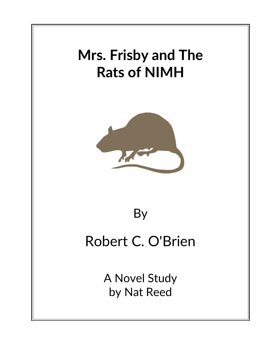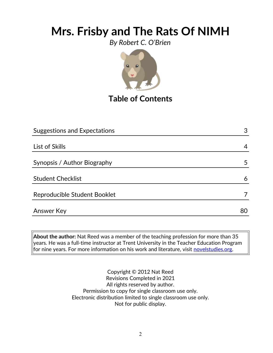*By Robert C. O'Brien*



## **Table of Contents**

| <b>Suggestions and Expectations</b> | 3  |
|-------------------------------------|----|
|                                     |    |
| List of Skills                      | 4  |
|                                     |    |
| Synopsis / Author Biography         | 5  |
|                                     |    |
| <b>Student Checklist</b>            | 6  |
|                                     |    |
| Reproducible Student Booklet        |    |
|                                     |    |
| <b>Answer Key</b>                   | 80 |

**About the author:** Nat Reed was a member of the teaching profession for more than 35 years. He was a full-time instructor at Trent University in the Teacher Education Program for nine years. For more information on his work and literature, visit [novelstudies.org.](http://www.novelstudies.org/)

> Copyright © 2012 Nat Reed Revisions Completed in 2021 All rights reserved by author. Permission to copy for single classroom use only. Electronic distribution limited to single classroom use only. Not for public display.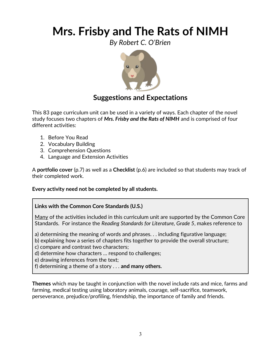*By Robert C. O'Brien*



### **Suggestions and Expectations**

This 83 page curriculum unit can be used in a variety of ways. Each chapter of the novel study focuses two chapters of *Mrs. Frisby and the Rats of NIMH* and is comprised of four different activities:

- 1. Before You Read
- 2. Vocabulary Building
- 3. Comprehension Questions
- 4. Language and Extension Activities

A **portfolio cover** (p.7) as well as a **Checklist** (p.6) are included so that students may track of their completed work.

#### **Every activity need not be completed by all students.**

#### **Links with the Common Core Standards (U.S.)**

Many of the activities included in this curriculum unit are supported by the Common Core Standards. For instance the *Reading Standards for Literature, Grade 5*, makes reference to

a) determining the meaning of words and phrases. . . including figurative language;

b) explaining how a series of chapters fits together to provide the overall structure;

c) compare and contrast two characters;

d) determine how characters … respond to challenges;

e) drawing inferences from the text;

f) determining a theme of a story . . . **and many others.**

**Themes** which may be taught in conjunction with the novel include rats and mice, farms and farming, medical testing using laboratory animals, courage, self-sacrifice, teamwork, perseverance, prejudice/profiling, friendship, the importance of family and friends.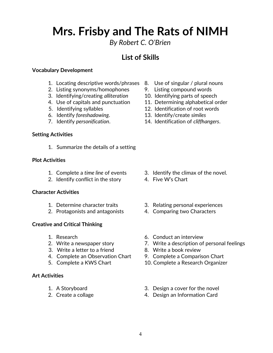*By Robert C. O'Brien*

### **List of Skills**

#### **Vocabulary Development**

- 1. Locating descriptive words/phrases 8. Use of singular / plural nouns
- 2. Listing synonyms/homophones 9. Listing compound words
- 3. Identifying/creating *alliteration* 10. Identifying parts of speech
- 
- 
- 6. Identify *foreshadowing*. 13. Identify/create *similes*
- 

#### **Setting Activities**

1. Summarize the details of a setting

#### **Plot Activities**

- 
- 2. Identify conflict in the story 4. Five W's Chart

#### **Character Activities**

- 
- 2. Protagonists and antagonists 4. Comparing two Characters

#### **Creative and Critical Thinking**

- 
- 
- 3. Write a letter to a friend 8. Write a book review
- 4. Complete an Observation Chart 9. Complete a Comparison Chart
- 

#### **Art Activities**

- 
- 
- 
- 
- 
- 4. Use of capitals and punctuation 11. Determining alphabetical order
- 5. Identifying syllables 12. Identification of root words
	-
- 7. Identify *personification*. 14. Identification of *cliffhangers*.

- 1. Complete a *time line* of events 3. Identify the climax of the novel.
	-
- 1. Determine character traits 3. Relating personal experiences
	-
- 1. Research 6. Conduct an interview
- 2. Write a newspaper story 2. Write a description of personal feelings
	-
	-
- 5. Complete a KWS Chart 10. Complete a Research Organizer
- 1. A Storyboard 3. Design a cover for the novel
- 2. Create a collage 2. Create a collage  $\frac{4}{100}$ . Design an Information Card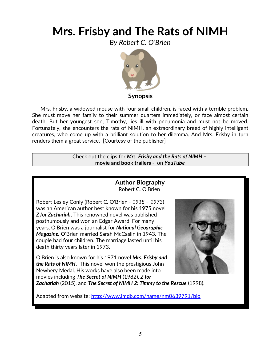*By Robert C. O'Brien*



**Synopsis**

 Mrs. Frisby, a widowed mouse with four small children, is faced with a terrible problem. She must move her family to their summer quarters immediately, or face almost certain death. But her youngest son, Timothy, lies ill with pneumonia and must not be moved. Fortunately, she encounters the rats of NIMH, an extraordinary breed of highly intelligent creatures, who come up with a brilliant solution to her dilemma. And Mrs. Frisby in turn renders them a great service. [Courtesy of the publisher]

> Check out the clips for *Mrs. Frisby and the Rats of NIMH* **– movie and book trailers -** on *YouTube*

### **Author Biography** Robert C. O'Brien

Robert Lesley Conly (Robert C. O'Brien - *1918 – 1973*) was an American author best known for his 1975 novel *Z for Zachariah*. This renowned novel was published posthumously and won an Edgar [Award.](http://www.imdb.com/search/name?bio=Award) For many years, O'Brien was a [journalist](http://en.wikipedia.org/wiki/Journalist) for *[National Geographic](http://en.wikipedia.org/wiki/National_Geographic_Magazine) [Magazine.](http://en.wikipedia.org/wiki/National_Geographic_Magazine)* O'Brien married Sarah McCaslin in 1943. The couple had four children. The marriage lasted until his death thirty years later in 1973.

O'Brien is also known for his 1971 novel *Mrs. Frisby and the Rats of NIMH*. This novel won the prestigious John Newbery Medal. His works have also been made into movies including *[The Secret of NIMH](http://www.imdb.com/title/tt0084649/)* (1982), *Z for*



*Zachariah* (2015), and *[The Secret of NIMH 2: Timmy to the Rescue](http://www.imdb.com/title/tt0171725/)* (1998).

Adapted from website:<http://www.imdb.com/name/nm0639791/bio>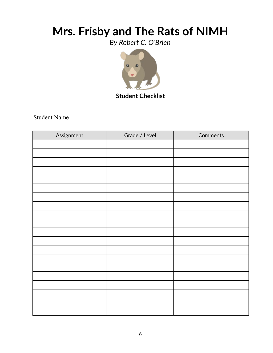*By Robert C. O'Brien*



**Student Checklist**

Student Name

| Assignment | Grade / Level | Comments |
|------------|---------------|----------|
|            |               |          |
|            |               |          |
|            |               |          |
|            |               |          |
|            |               |          |
|            |               |          |
|            |               |          |
|            |               |          |
|            |               |          |
|            |               |          |
|            |               |          |
|            |               |          |
|            |               |          |
|            |               |          |
|            |               |          |
|            |               |          |
|            |               |          |
|            |               |          |
|            |               |          |
|            |               |          |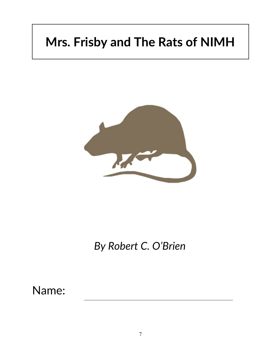

*By Robert C. O'Brien*

Name: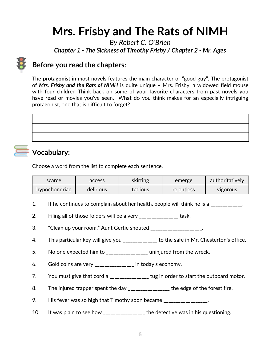*By Robert C. O'Brien Chapter 1 - The Sickness of Timothy Frisby / Chapter 2 - Mr. Ages*



### **Before you read the chapters**:

The **protagonist** in most novels features the main character or "good guy". The protagonist of *Mrs. Frisby and the Rats of NIMH* is quite unique – Mrs. Frisby, a widowed field mouse with four children Think back on some of your favorite characters from past novels you have read or movies you've seen. What do you think makes for an especially intriguing protagonist, one that is difficult to forget?

# **Vocabulary:**

Choose a word from the list to complete each sentence.

| scarce        | access    | skirting | emerge     | authoritatively |
|---------------|-----------|----------|------------|-----------------|
| hypochondriac | delirious | tedious  | relentless | <b>VIGOrous</b> |

- 1. If he continues to complain about her health, people will think he is a \_\_\_\_\_\_\_\_\_\_\_\_.
- 2. Filing all of those folders will be a very \_\_\_\_\_\_\_\_\_\_\_\_\_\_\_\_\_ task.
- 3. "Clean up your room," Aunt Gertie shouted \_\_\_\_\_\_\_\_\_\_\_\_\_\_\_\_\_\_\_\_\_.
- 4. This particular key will give you \_\_\_\_\_\_\_\_\_\_\_\_\_ to the safe in Mr. Chesterton's office.
- 5. No one expected him to \_\_\_\_\_\_\_\_\_\_\_\_\_\_\_\_\_\_ uninjured from the wreck.
- 6. Gold coins are very \_\_\_\_\_\_\_\_\_\_\_\_\_\_\_\_ in today's economy.
- 7. You must give that cord a \_\_\_\_\_\_\_\_\_\_\_\_\_\_\_ tug in order to start the outboard motor.
- 8. The injured trapper spent the day \_\_\_\_\_\_\_\_\_\_\_\_\_\_\_\_ the edge of the forest fire.
- 9. His fever was so high that Timothy soon became \_\_\_\_\_\_\_\_\_\_\_\_\_\_\_\_.
- 10. It was plain to see how \_\_\_\_\_\_\_\_\_\_\_\_\_\_\_\_ the detective was in his questioning.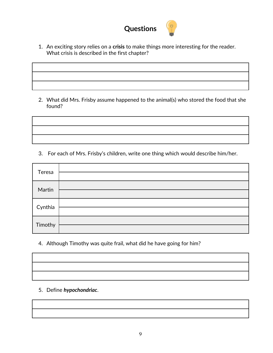

1. An exciting story relies on a **crisis** to make things more interesting for the reader. What crisis is described in the first chapter?

2. What did Mrs. Frisby assume happened to the animal(s) who stored the food that she found?

3. For each of Mrs. Frisby's children, write one thing which would describe him/her.

| Teresa  |  |
|---------|--|
| Martin  |  |
| Cynthia |  |
| Timothy |  |

4. Although Timothy was quite frail, what did he have going for him?



5. Define *hypochondriac*.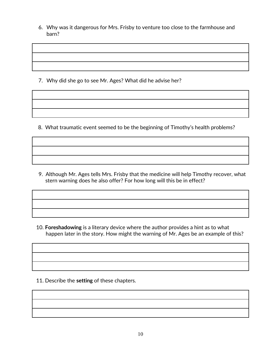6. Why was it dangerous for Mrs. Frisby to venture too close to the farmhouse and barn?

7. Why did she go to see Mr. Ages? What did he advise her?

8. What traumatic event seemed to be the beginning of Timothy's health problems?

 9. Although Mr. Ages tells Mrs. Frisby that the medicine will help Timothy recover, what stern warning does he also offer? For how long will this be in effect?

 10. **Foreshadowing** is a literary device where the author provides a hint as to what happen later in the story. How might the warning of Mr. Ages be an example of this?

11. Describe the **setting** of these chapters.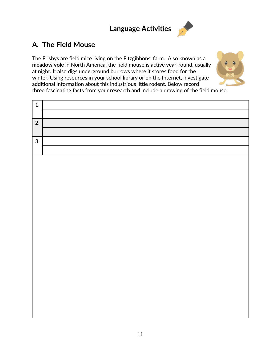## **Language Activities**



### **A***.* **The Field Mouse**

The Frisbys are field mice living on the Fitzgibbons' farm. Also known as a **meadow vole** in North America, the field mouse is active year-round, usually at night. It also digs underground burrows where it stores food for the winter. Using resources in your school library or on the Internet, investigate additional information about this industrious little rodent. Below record three fascinating facts from your research and include a drawing of the field mouse.

| 1. |  |
|----|--|
|    |  |
| 2. |  |
|    |  |
| 3. |  |
|    |  |
|    |  |
|    |  |
|    |  |
|    |  |
|    |  |
|    |  |
|    |  |
|    |  |
|    |  |
|    |  |
|    |  |
|    |  |
|    |  |
|    |  |
|    |  |
|    |  |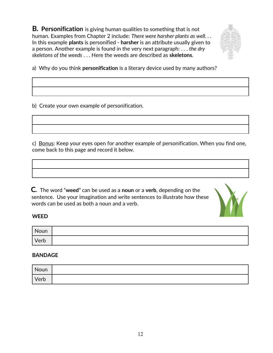**B***.* **Personification** is giving human qualities to something that is not human. Examples from Chapter 2 include: *There were harsher plants as well. . .* In this example **plants** is personified - **harsher** is an attribute usually given to a person. Another example is found in the very next paragraph: . . . *the dry skeletons of the weeds* . . . Here the weeds are described as **skeletons***.*



a) Why do you think **personification** is a literary device used by many authors?

b) Create your own example of personification.

c) Bonus: Keep your eyes open for another example of personification. When you find one, come back to this page and record it below.

**C***.* The word "**weed**" can be used as a **noun** or a **verb**, depending on the sentence. Use your imagination and write sentences to illustrate how these words can be used as both a noun and a verb.



#### **WEED**

| Noun |  |
|------|--|
| Verb |  |

#### **BANDAGE**

| Noun |  |
|------|--|
| Verb |  |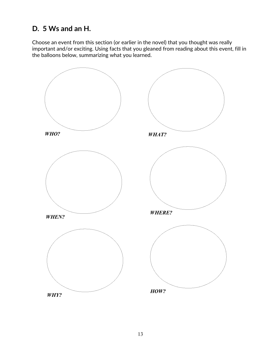### **D. 5 Ws and an H.**

Choose an event from this section (or earlier in the novel) that you thought was really important and/or exciting. Using facts that you gleaned from reading about this event, fill in the balloons below, summarizing what you learned.